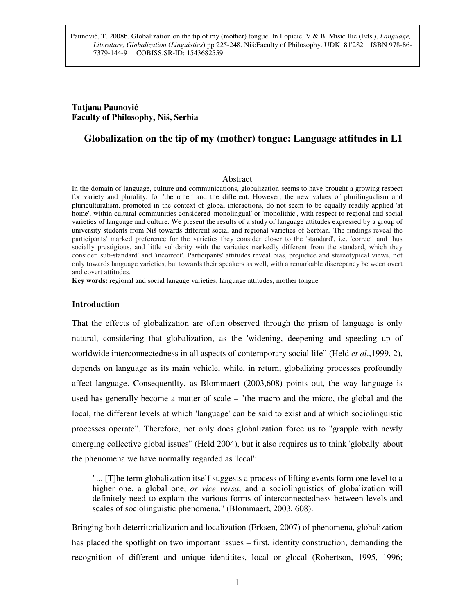# **Tatjana Paunovi**ć **Faculty of Philosophy, Niš, Serbia**

# **Globalization on the tip of my (mother) tongue: Language attitudes in L1**

#### Abstract

In the domain of language, culture and communications, globalization seems to have brought a growing respect for variety and plurality, for 'the other' and the different. However, the new values of plurilingualism and pluriculturalism, promoted in the context of global interactions, do not seem to be equally readily applied 'at home', within cultural communities considered 'monolingual' or 'monolithic', with respect to regional and social varieties of language and culture. We present the results of a study of language attitudes expressed by a group of university students from Niš towards different social and regional varieties of Serbian. The findings reveal the participants' marked preference for the varieties they consider closer to the 'standard', i.e. 'correct' and thus socially prestigious, and little solidarity with the varieties markedly different from the standard, which they consider 'sub-standard' and 'incorrect'. Participants' attitudes reveal bias, prejudice and stereotypical views, not only towards language varieties, but towards their speakers as well, with a remarkable discrepancy between overt and covert attitudes.

**Key words:** regional and social languge varieties, language attitudes, mother tongue

### **Introduction**

That the effects of globalization are often observed through the prism of language is only natural, considering that globalization, as the 'widening, deepening and speeding up of worldwide interconnectedness in all aspects of contemporary social life" (Held *et al*.,1999, 2), depends on language as its main vehicle, while, in return, globalizing processes profoundly affect language. Consequentlty, as Blommaert (2003,608) points out, the way language is used has generally become a matter of scale – "the macro and the micro, the global and the local, the different levels at which 'language' can be said to exist and at which sociolinguistic processes operate". Therefore, not only does globalization force us to "grapple with newly emerging collective global issues" (Held 2004), but it also requires us to think 'globally' about the phenomena we have normally regarded as 'local':

"... [T]he term globalization itself suggests a process of lifting events form one level to a higher one, a global one, *or vice versa*, and a sociolinguistics of globalization will definitely need to explain the various forms of interconnectedness between levels and scales of sociolinguistic phenomena." (Blommaert, 2003, 608).

Bringing both deterritorialization and localization (Erksen, 2007) of phenomena, globalization has placed the spotlight on two important issues – first, identity construction, demanding the recognition of different and unique identitites, local or glocal (Robertson, 1995, 1996;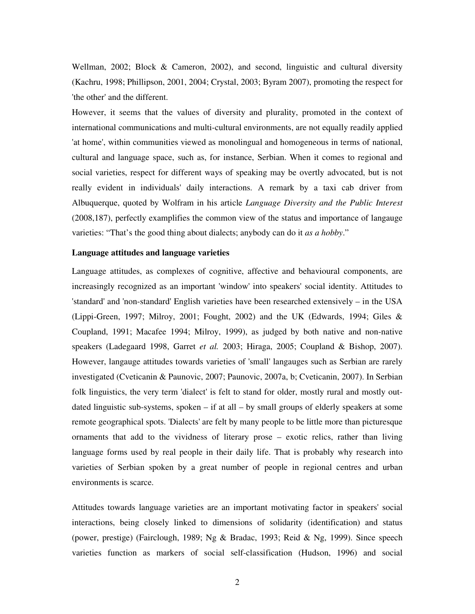Wellman, 2002; Block & Cameron, 2002), and second, linguistic and cultural diversity (Kachru, 1998; Phillipson, 2001, 2004; Crystal, 2003; Byram 2007), promoting the respect for 'the other' and the different.

However, it seems that the values of diversity and plurality, promoted in the context of international communications and multi-cultural environments, are not equally readily applied 'at home', within communities viewed as monolingual and homogeneous in terms of national, cultural and language space, such as, for instance, Serbian. When it comes to regional and social varieties, respect for different ways of speaking may be overtly advocated, but is not really evident in individuals' daily interactions. A remark by a taxi cab driver from Albuquerque, quoted by Wolfram in his article *Language Diversity and the Public Interest* (2008,187), perfectly examplifies the common view of the status and importance of langauge varieties: "That's the good thing about dialects; anybody can do it *as a hobby*."

# **Language attitudes and language varieties**

Language attitudes, as complexes of cognitive, affective and behavioural components, are increasingly recognized as an important 'window' into speakers' social identity. Attitudes to 'standard' and 'non-standard' English varieties have been researched extensively – in the USA (Lippi-Green, 1997; Milroy, 2001; Fought, 2002) and the UK (Edwards, 1994; Giles & Coupland, 1991; Macafee 1994; Milroy, 1999), as judged by both native and non-native speakers (Ladegaard 1998, Garret *et al.* 2003; Hiraga, 2005; Coupland & Bishop, 2007). However, langauge attitudes towards varieties of 'small' langauges such as Serbian are rarely investigated (Cveticanin & Paunovic, 2007; Paunovic, 2007a, b; Cveticanin, 2007). In Serbian folk linguistics, the very term 'dialect' is felt to stand for older, mostly rural and mostly outdated linguistic sub-systems, spoken  $-$  if at all  $-$  by small groups of elderly speakers at some remote geographical spots. 'Dialects' are felt by many people to be little more than picturesque ornaments that add to the vividness of literary prose – exotic relics, rather than living language forms used by real people in their daily life. That is probably why research into varieties of Serbian spoken by a great number of people in regional centres and urban environments is scarce.

Attitudes towards language varieties are an important motivating factor in speakers' social interactions, being closely linked to dimensions of solidarity (identification) and status (power, prestige) (Fairclough, 1989; Ng & Bradac, 1993; Reid & Ng, 1999). Since speech varieties function as markers of social self-classification (Hudson, 1996) and social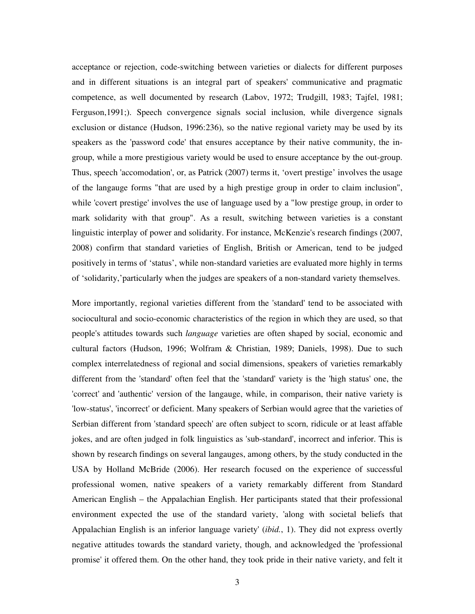acceptance or rejection, code-switching between varieties or dialects for different purposes and in different situations is an integral part of speakers' communicative and pragmatic competence, as well documented by research (Labov, 1972; Trudgill, 1983; Tajfel, 1981; Ferguson,1991;). Speech convergence signals social inclusion, while divergence signals exclusion or distance (Hudson, 1996:236), so the native regional variety may be used by its speakers as the 'password code' that ensures acceptance by their native community, the ingroup, while a more prestigious variety would be used to ensure acceptance by the out-group. Thus, speech 'accomodation', or, as Patrick (2007) terms it, 'overt prestige' involves the usage of the langauge forms "that are used by a high prestige group in order to claim inclusion", while 'covert prestige' involves the use of language used by a "low prestige group, in order to mark solidarity with that group". As a result, switching between varieties is a constant linguistic interplay of power and solidarity. For instance, McKenzie's research findings (2007, 2008) confirm that standard varieties of English, British or American, tend to be judged positively in terms of 'status', while non-standard varieties are evaluated more highly in terms of 'solidarity,'particularly when the judges are speakers of a non-standard variety themselves.

More importantly, regional varieties different from the 'standard' tend to be associated with sociocultural and socio-economic characteristics of the region in which they are used, so that people's attitudes towards such *language* varieties are often shaped by social, economic and cultural factors (Hudson, 1996; Wolfram & Christian, 1989; Daniels, 1998). Due to such complex interrelatedness of regional and social dimensions, speakers of varieties remarkably different from the 'standard' often feel that the 'standard' variety is the 'high status' one, the 'correct' and 'authentic' version of the langauge, while, in comparison, their native variety is 'low-status', 'incorrect' or deficient. Many speakers of Serbian would agree that the varieties of Serbian different from 'standard speech' are often subject to scorn, ridicule or at least affable jokes, and are often judged in folk linguistics as 'sub-standard', incorrect and inferior. This is shown by research findings on several langauges, among others, by the study conducted in the USA by Holland McBride (2006). Her research focused on the experience of successful professional women, native speakers of a variety remarkably different from Standard American English – the Appalachian English. Her participants stated that their professional environment expected the use of the standard variety, 'along with societal beliefs that Appalachian English is an inferior language variety' (*ibid.*, 1). They did not express overtly negative attitudes towards the standard variety, though, and acknowledged the 'professional promise' it offered them. On the other hand, they took pride in their native variety, and felt it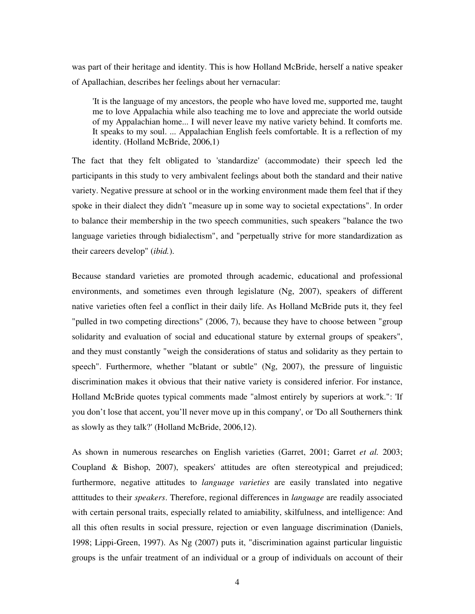was part of their heritage and identity. This is how Holland McBride, herself a native speaker of Apallachian, describes her feelings about her vernacular:

'It is the language of my ancestors, the people who have loved me, supported me, taught me to love Appalachia while also teaching me to love and appreciate the world outside of my Appalachian home... I will never leave my native variety behind. It comforts me. It speaks to my soul. ... Appalachian English feels comfortable. It is a reflection of my identity. (Holland McBride, 2006,1)

The fact that they felt obligated to 'standardize' (accommodate) their speech led the participants in this study to very ambivalent feelings about both the standard and their native variety. Negative pressure at school or in the working environment made them feel that if they spoke in their dialect they didn't "measure up in some way to societal expectations". In order to balance their membership in the two speech communities, such speakers "balance the two language varieties through bidialectism", and "perpetually strive for more standardization as their careers develop" (*ibid.*).

Because standard varieties are promoted through academic, educational and professional environments, and sometimes even through legislature (Ng, 2007), speakers of different native varieties often feel a conflict in their daily life. As Holland McBride puts it, they feel "pulled in two competing directions" (2006, 7), because they have to choose between "group solidarity and evaluation of social and educational stature by external groups of speakers", and they must constantly "weigh the considerations of status and solidarity as they pertain to speech". Furthermore, whether "blatant or subtle" (Ng, 2007), the pressure of linguistic discrimination makes it obvious that their native variety is considered inferior. For instance, Holland McBride quotes typical comments made "almost entirely by superiors at work.": 'If you don't lose that accent, you'll never move up in this company', or 'Do all Southerners think as slowly as they talk?' (Holland McBride, 2006,12).

As shown in numerous researches on English varieties (Garret, 2001; Garret *et al.* 2003; Coupland & Bishop, 2007), speakers' attitudes are often stereotypical and prejudiced; furthermore, negative attitudes to *language varieties* are easily translated into negative atttitudes to their *speakers*. Therefore, regional differences in *language* are readily associated with certain personal traits, especially related to amiability, skilfulness, and intelligence: And all this often results in social pressure, rejection or even language discrimination (Daniels, 1998; Lippi-Green, 1997). As Ng (2007) puts it, "discrimination against particular linguistic groups is the unfair treatment of an individual or a group of individuals on account of their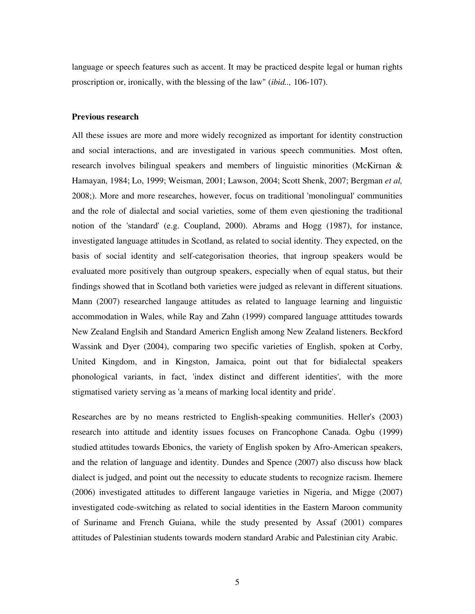language or speech features such as accent. It may be practiced despite legal or human rights proscription or, ironically, with the blessing of the law" (*ibid..,* 106-107).

### **Previous research**

All these issues are more and more widely recognized as important for identity construction and social interactions, and are investigated in various speech communities. Most often, research involves bilingual speakers and members of linguistic minorities (McKirnan & Hamayan, 1984; Lo, 1999; Weisman, 2001; Lawson, 2004; Scott Shenk, 2007; Bergman *et al,*  2008;). More and more researches, however, focus on traditional 'monolingual' communities and the role of dialectal and social varieties, some of them even qiestioning the traditional notion of the 'standard' (e.g. Coupland, 2000). Abrams and Hogg (1987), for instance, investigated language attitudes in Scotland, as related to social identity. They expected, on the basis of social identity and self-categorisation theories, that ingroup speakers would be evaluated more positively than outgroup speakers, especially when of equal status, but their findings showed that in Scotland both varieties were judged as relevant in different situations. Mann (2007) researched langauge attitudes as related to language learning and linguistic accommodation in Wales, while Ray and Zahn (1999) compared language atttitudes towards New Zealand Englsih and Standard Americn English among New Zealand listeners. Beckford Wassink and Dyer (2004), comparing two specific varieties of English, spoken at Corby, United Kingdom, and in Kingston, Jamaica, point out that for bidialectal speakers phonological variants, in fact, 'index distinct and different identities', with the more stigmatised variety serving as 'a means of marking local identity and pride'.

Researches are by no means restricted to English-speaking communities. Heller's (2003) research into attitude and identity issues focuses on Francophone Canada. Ogbu (1999) studied attitudes towards Ebonics, the variety of English spoken by Afro-American speakers, and the relation of language and identity. Dundes and Spence (2007) also discuss how black dialect is judged, and point out the necessity to educate students to recognize racism. Ihemere (2006) investigated attitudes to different langauge varieties in Nigeria, and Migge (2007) investigated code-switching as related to social identities in the Eastern Maroon community of Suriname and French Guiana, while the study presented by Assaf (2001) compares attitudes of Palestinian students towards modern standard Arabic and Palestinian city Arabic.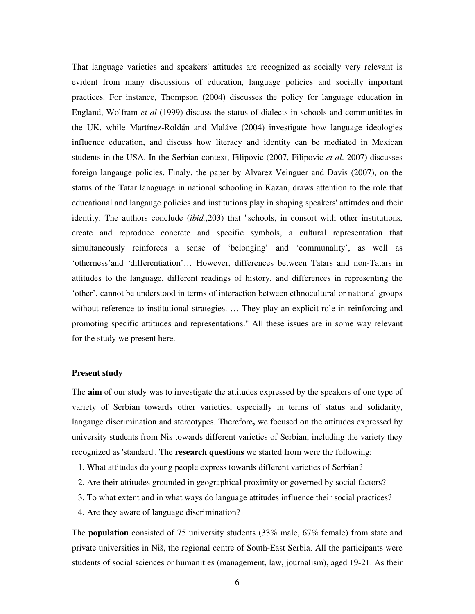That language varieties and speakers' attitudes are recognized as socially very relevant is evident from many discussions of education, language policies and socially important practices. For instance, Thompson (2004) discusses the policy for language education in England, Wolfram *et al* (1999) discuss the status of dialects in schools and communitites in the UK, while Martínez-Roldán and Maláve (2004) investigate how language ideologies influence education, and discuss how literacy and identity can be mediated in Mexican students in the USA. In the Serbian context, Filipovic (2007, Filipovic *et al*. 2007) discusses foreign langauge policies. Finaly, the paper by Alvarez Veinguer and Davis (2007), on the status of the Tatar lanaguage in national schooling in Kazan, draws attention to the role that educational and langauge policies and institutions play in shaping speakers' attitudes and their identity. The authors conclude (*ibid.*,203) that "schools, in consort with other institutions, create and reproduce concrete and specific symbols, a cultural representation that simultaneously reinforces a sense of 'belonging' and 'communality', as well as 'otherness'and 'differentiation'… However, differences between Tatars and non-Tatars in attitudes to the language, different readings of history, and differences in representing the 'other', cannot be understood in terms of interaction between ethnocultural or national groups without reference to institutional strategies. ... They play an explicit role in reinforcing and promoting specific attitudes and representations." All these issues are in some way relevant for the study we present here.

#### **Present study**

The **aim** of our study was to investigate the attitudes expressed by the speakers of one type of variety of Serbian towards other varieties, especially in terms of status and solidarity, langauge discrimination and stereotypes. Therefore**,** we focused on the attitudes expressed by university students from Nis towards different varieties of Serbian, including the variety they recognized as 'standard'. The **research questions** we started from were the following:

- 1. What attitudes do young people express towards different varieties of Serbian?
- 2. Are their attitudes grounded in geographical proximity or governed by social factors?
- 3. To what extent and in what ways do language attitudes influence their social practices?
- 4. Are they aware of language discrimination?

The **population** consisted of 75 university students (33% male, 67% female) from state and private universities in Niš, the regional centre of South-East Serbia. All the participants were students of social sciences or humanities (management, law, journalism), aged 19-21. As their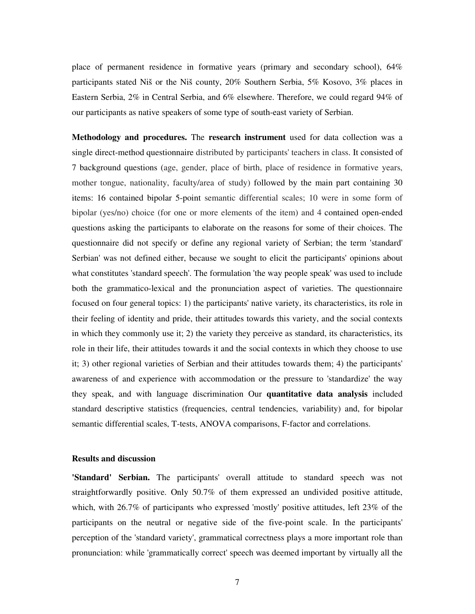place of permanent residence in formative years (primary and secondary school), 64% participants stated Niš or the Niš county, 20% Southern Serbia, 5% Kosovo, 3% places in Eastern Serbia, 2% in Central Serbia, and 6% elsewhere. Therefore, we could regard 94% of our participants as native speakers of some type of south-east variety of Serbian.

**Methodology and procedures.** The **research instrument** used for data collection was a single direct-method questionnaire distributed by participants' teachers in class. It consisted of 7 background questions (age, gender, place of birth, place of residence in formative years, mother tongue, nationality, faculty/area of study) followed by the main part containing 30 items: 16 contained bipolar 5-point semantic differential scales; 10 were in some form of bipolar (yes/no) choice (for one or more elements of the item) and 4 contained open-ended questions asking the participants to elaborate on the reasons for some of their choices. The questionnaire did not specify or define any regional variety of Serbian; the term 'standard' Serbian' was not defined either, because we sought to elicit the participants' opinions about what constitutes 'standard speech'. The formulation 'the way people speak' was used to include both the grammatico-lexical and the pronunciation aspect of varieties. The questionnaire focused on four general topics: 1) the participants' native variety, its characteristics, its role in their feeling of identity and pride, their attitudes towards this variety, and the social contexts in which they commonly use it; 2) the variety they perceive as standard, its characteristics, its role in their life, their attitudes towards it and the social contexts in which they choose to use it; 3) other regional varieties of Serbian and their attitudes towards them; 4) the participants' awareness of and experience with accommodation or the pressure to 'standardize' the way they speak, and with language discrimination Our **quantitative data analysis** included standard descriptive statistics (frequencies, central tendencies, variability) and, for bipolar semantic differential scales, T-tests, ANOVA comparisons, F-factor and correlations.

## **Results and discussion**

**'Standard' Serbian.** The participants' overall attitude to standard speech was not straightforwardly positive. Only 50.7% of them expressed an undivided positive attitude, which, with 26.7% of participants who expressed 'mostly' positive attitudes, left 23% of the participants on the neutral or negative side of the five-point scale. In the participants' perception of the 'standard variety', grammatical correctness plays a more important role than pronunciation: while 'grammatically correct' speech was deemed important by virtually all the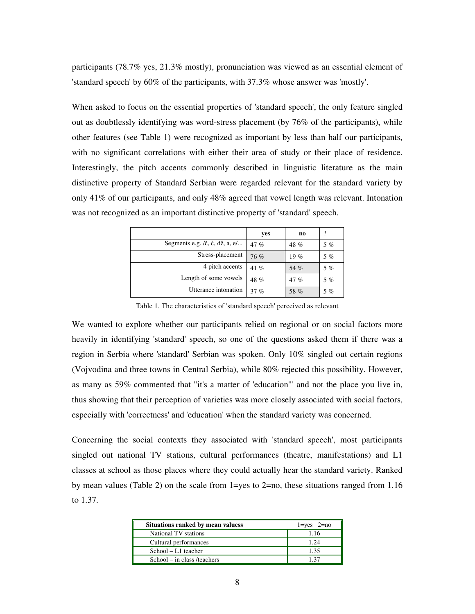participants (78.7% yes, 21.3% mostly), pronunciation was viewed as an essential element of 'standard speech' by 60% of the participants, with 37.3% whose answer was 'mostly'.

When asked to focus on the essential properties of 'standard speech', the only feature singled out as doubtlessly identifying was word-stress placement (by 76% of the participants), while other features (see Table 1) were recognized as important by less than half our participants, with no significant correlations with either their area of study or their place of residence. Interestingly, the pitch accents commonly described in linguistic literature as the main distinctive property of Standard Serbian were regarded relevant for the standard variety by only 41% of our participants, and only 48% agreed that vowel length was relevant. Intonation was not recognized as an important distinctive property of 'standard' speech.

|                                                          | yes    | n <sub>0</sub> | 7     |
|----------------------------------------------------------|--------|----------------|-------|
| Segments e.g. $/6$ , $\dot{c}$ , $d\dot{z}$ , $a$ , $e/$ | 47 $%$ | 48%            | 5%    |
| Stress-placement                                         | 76%    | 19%            | 5%    |
| 4 pitch accents                                          | 41 $%$ | 54 %           | $5\%$ |
| Length of some vowels                                    | 48 %   | 47%            | $5\%$ |
| Utterance intonation                                     | 37 %   | 58 %           | 5%    |

Table 1. The characteristics of 'standard speech' perceived as relevant

We wanted to explore whether our participants relied on regional or on social factors more heavily in identifying 'standard' speech, so one of the questions asked them if there was a region in Serbia where 'standard' Serbian was spoken. Only 10% singled out certain regions (Vojvodina and three towns in Central Serbia), while 80% rejected this possibility. However, as many as 59% commented that "it's a matter of 'education'" and not the place you live in, thus showing that their perception of varieties was more closely associated with social factors, especially with 'correctness' and 'education' when the standard variety was concerned.

Concerning the social contexts they associated with 'standard speech', most participants singled out national TV stations, cultural performances (theatre, manifestations) and L1 classes at school as those places where they could actually hear the standard variety. Ranked by mean values (Table 2) on the scale from 1=yes to 2=no, these situations ranged from 1.16 to 1.37.

| Situations ranked by mean valuess | $l = yes$ $2 = no$ |
|-----------------------------------|--------------------|
| National TV stations              | 1.16               |
| Cultural performances             | 1.24               |
| $School - L1$ teacher             | 1.35               |
| School – in class /teachers       |                    |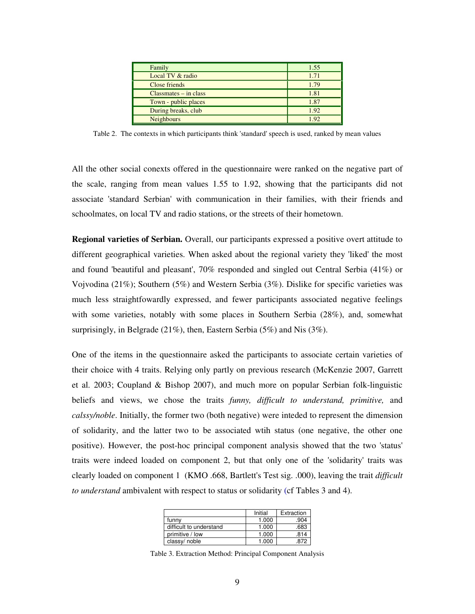| Family                  | 1.55 |
|-------------------------|------|
| Local TV & radio        | 1.71 |
| Close friends           | 1.79 |
| $Classmates - in class$ | 1.81 |
| Town - public places    | 1.87 |
| During breaks, club     | 1.92 |
| <b>Neighbours</b>       | 1.92 |

Table 2. The contexts in which participants think 'standard' speech is used, ranked by mean values

All the other social conexts offered in the questionnaire were ranked on the negative part of the scale, ranging from mean values 1.55 to 1.92, showing that the participants did not associate 'standard Serbian' with communication in their families, with their friends and schoolmates, on local TV and radio stations, or the streets of their hometown.

**Regional varieties of Serbian.** Overall, our participants expressed a positive overt attitude to different geographical varieties. When asked about the regional variety they 'liked' the most and found 'beautiful and pleasant', 70% responded and singled out Central Serbia (41%) or Vojvodina (21%); Southern (5%) and Western Serbia (3%). Dislike for specific varieties was much less straightfowardly expressed, and fewer participants associated negative feelings with some varieties, notably with some places in Southern Serbia (28%), and, somewhat surprisingly, in Belgrade (21%), then, Eastern Serbia (5%) and Nis (3%).

One of the items in the questionnaire asked the participants to associate certain varieties of their choice with 4 traits. Relying only partly on previous research (McKenzie 2007, Garrett et al. 2003; Coupland & Bishop 2007), and much more on popular Serbian folk-linguistic beliefs and views, we chose the traits *funny, difficult to understand, primitive,* and *calssy/noble*. Initially, the former two (both negative) were inteded to represent the dimension of solidarity, and the latter two to be associated wtih status (one negative, the other one positive). However, the post-hoc principal component analysis showed that the two 'status' traits were indeed loaded on component 2, but that only one of the 'solidarity' traits was clearly loaded on component 1 (KMO .668, Bartlett's Test sig. .000), leaving the trait *difficult to understand* ambivalent with respect to status or solidarity (cf Tables 3 and 4).

|                         | Initial | Extraction |
|-------------------------|---------|------------|
| funny                   | 1.000   | .904       |
| difficult to understand | 1.000   | .683       |
| primitive / low         | 1.000   | 814        |
| classy/noble            | 1.000   | 872        |

Table 3. Extraction Method: Principal Component Analysis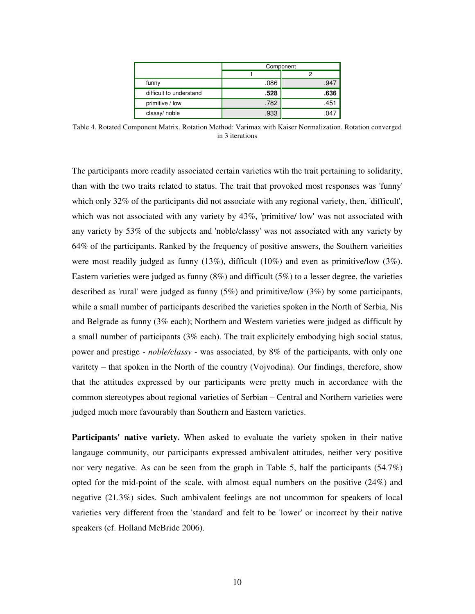|                         |      | Component |
|-------------------------|------|-----------|
|                         |      |           |
| funny                   | .086 | .947      |
| difficult to understand | .528 | .636      |
| primitive / low         | .782 | .451      |
| classy/noble            | .933 | .04       |

Table 4. Rotated Component Matrix. Rotation Method: Varimax with Kaiser Normalization. Rotation converged in 3 iterations

The participants more readily associated certain varieties wtih the trait pertaining to solidarity, than with the two traits related to status. The trait that provoked most responses was 'funny' which only 32% of the participants did not associate with any regional variety, then, 'difficult', which was not associated with any variety by  $43\%$ , 'primitive/ low' was not associated with any variety by 53% of the subjects and 'noble/classy' was not associated with any variety by 64% of the participants. Ranked by the frequency of positive answers, the Southern varieities were most readily judged as funny (13%), difficult (10%) and even as primitive/low (3%). Eastern varieties were judged as funny (8%) and difficult (5%) to a lesser degree, the varieties described as 'rural' were judged as funny (5%) and primitive/low (3%) by some participants, while a small number of participants described the varieties spoken in the North of Serbia, Nis and Belgrade as funny (3% each); Northern and Western varieties were judged as difficult by a small number of participants (3% each). The trait explicitely embodying high social status, power and prestige - *noble/classy* - was associated, by 8% of the participants, with only one varitety – that spoken in the North of the country (Vojvodina). Our findings, therefore, show that the attitudes expressed by our participants were pretty much in accordance with the common stereotypes about regional varieties of Serbian – Central and Northern varieties were judged much more favourably than Southern and Eastern varieties.

**Participants' native variety.** When asked to evaluate the variety spoken in their native langauge community, our participants expressed ambivalent attitudes, neither very positive nor very negative. As can be seen from the graph in Table 5, half the participants (54.7%) opted for the mid-point of the scale, with almost equal numbers on the positive (24%) and negative (21.3%) sides. Such ambivalent feelings are not uncommon for speakers of local varieties very different from the 'standard' and felt to be 'lower' or incorrect by their native speakers (cf. Holland McBride 2006).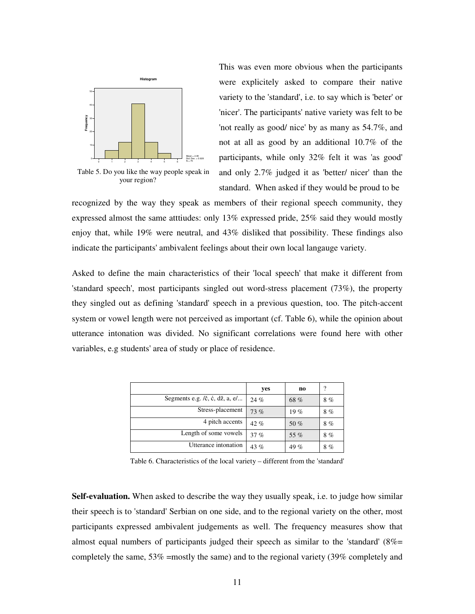

 Table 5. Do you like the way people speak in your region?

This was even more obvious when the participants were explicitely asked to compare their native variety to the 'standard', i.e. to say which is 'beter' or 'nicer'. The participants' native variety was felt to be 'not really as good/ nice' by as many as 54.7%, and not at all as good by an additional 10.7% of the participants, while only 32% felt it was 'as good' and only 2.7% judged it as 'better/ nicer' than the standard. When asked if they would be proud to be

recognized by the way they speak as members of their regional speech community, they expressed almost the same atttiudes: only 13% expressed pride, 25% said they would mostly enjoy that, while 19% were neutral, and 43% disliked that possibility. These findings also indicate the participants' ambivalent feelings about their own local langauge variety.

Asked to define the main characteristics of their 'local speech' that make it different from 'standard speech', most participants singled out word-stress placement (73%), the property they singled out as defining 'standard' speech in a previous question, too. The pitch-accent system or vowel length were not perceived as important (cf. Table 6), while the opinion about utterance intonation was divided. No significant correlations were found here with other variables, e.g students' area of study or place of residence.

|                                                                                                                                    | yes  | n <sub>0</sub> | ?  |
|------------------------------------------------------------------------------------------------------------------------------------|------|----------------|----|
| Segments e.g. $\ell$ , $\dot{\mathbf{c}}$ , $\dot{\mathbf{c}}$ , $\mathrm{d}\dot{\mathbf{z}}$ , $\mathbf{a}$ , $\mathrm{e}/\ldots$ | 24%  | 68 %           | 8% |
| Stress-placement                                                                                                                   | 73%  | 19%            | 8% |
| 4 pitch accents                                                                                                                    | 42 % | 50 %           | 8% |
| Length of some vowels                                                                                                              | 37%  | 55 %           | 8% |
| Utterance intonation                                                                                                               | 43 % | 49 %           | 8% |

Table 6. Characteristics of the local variety – different from the 'standard'

**Self-evaluation.** When asked to describe the way they usually speak, i.e. to judge how similar their speech is to 'standard' Serbian on one side, and to the regional variety on the other, most participants expressed ambivalent judgements as well. The frequency measures show that almost equal numbers of participants judged their speech as similar to the 'standard'  $(8\% =$ completely the same, 53% =mostly the same) and to the regional variety (39% completely and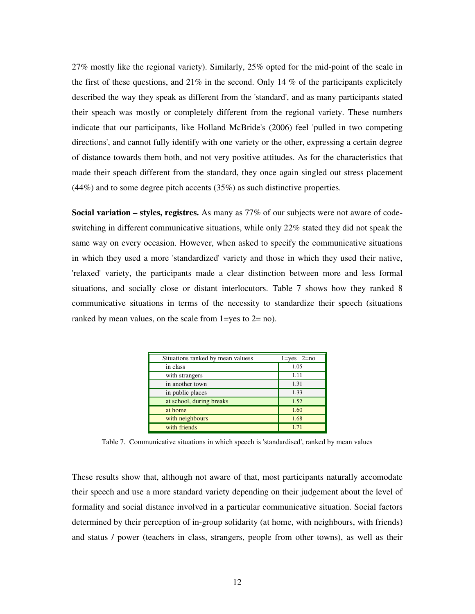27% mostly like the regional variety). Similarly, 25% opted for the mid-point of the scale in the first of these questions, and  $21\%$  in the second. Only 14 % of the participants explicitely described the way they speak as different from the 'standard', and as many participants stated their speach was mostly or completely different from the regional variety. These numbers indicate that our participants, like Holland McBride's (2006) feel 'pulled in two competing directions', and cannot fully identify with one variety or the other, expressing a certain degree of distance towards them both, and not very positive attitudes. As for the characteristics that made their speach different from the standard, they once again singled out stress placement (44%) and to some degree pitch accents (35%) as such distinctive properties.

**Social variation – styles, registres.** As many as 77% of our subjects were not aware of codeswitching in different communicative situations, while only 22% stated they did not speak the same way on every occasion. However, when asked to specify the communicative situations in which they used a more 'standardized' variety and those in which they used their native, 'relaxed' variety, the participants made a clear distinction between more and less formal situations, and socially close or distant interlocutors. Table 7 shows how they ranked 8 communicative situations in terms of the necessity to standardize their speech (situations ranked by mean values, on the scale from 1=yes to 2= no).

| Situations ranked by mean valuess | $1 = yes$ $2 = no$ |
|-----------------------------------|--------------------|
| in class                          | 1.05               |
| with strangers                    | 1.11               |
| in another town                   | 1.31               |
| in public places                  | 1.33               |
| at school, during breaks          | 1.52               |
| at home                           | 1.60               |
| with neighbours                   | 1.68               |
| with friends                      | 1 7 1              |

Table 7. Communicative situations in which speech is 'standardised', ranked by mean values

These results show that, although not aware of that, most participants naturally accomodate their speech and use a more standard variety depending on their judgement about the level of formality and social distance involved in a particular communicative situation. Social factors determined by their perception of in-group solidarity (at home, with neighbours, with friends) and status / power (teachers in class, strangers, people from other towns), as well as their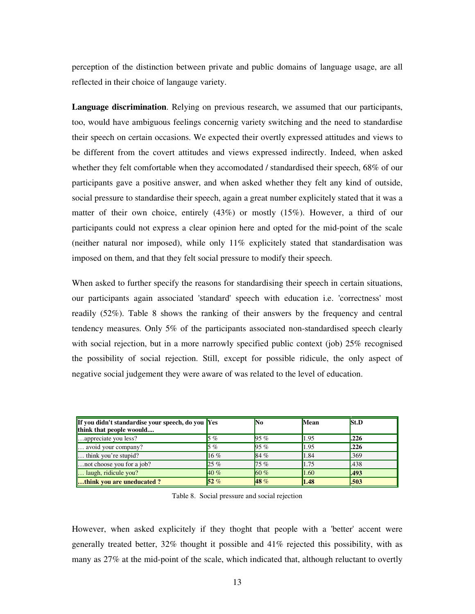perception of the distinction between private and public domains of language usage, are all reflected in their choice of langauge variety.

**Language discrimination**. Relying on previous research, we assumed that our participants, too, would have ambiguous feelings concernig variety switching and the need to standardise their speech on certain occasions. We expected their overtly expressed attitudes and views to be different from the covert attitudes and views expressed indirectly. Indeed, when asked whether they felt comfortable when they accomodated / standardised their speech, 68% of our participants gave a positive answer, and when asked whether they felt any kind of outside, social pressure to standardise their speech, again a great number explicitely stated that it was a matter of their own choice, entirely (43%) or mostly (15%). However, a third of our participants could not express a clear opinion here and opted for the mid-point of the scale (neither natural nor imposed), while only 11% explicitely stated that standardisation was imposed on them, and that they felt social pressure to modify their speech.

When asked to further specify the reasons for standardising their speech in certain situations, our participants again associated 'standard' speech with education i.e. 'correctness' most readily (52%). Table 8 shows the ranking of their answers by the frequency and central tendency measures. Only 5% of the participants associated non-standardised speech clearly with social rejection, but in a more narrowly specified public context (job) 25% recognised the possibility of social rejection. Still, except for possible ridicule, the only aspect of negative social judgement they were aware of was related to the level of education.

| If you didn't standardise your speech, do you Yes<br>think that people woould |       | No      | Mean | St.D  |
|-------------------------------------------------------------------------------|-------|---------|------|-------|
| appreciate you less?                                                          | $5\%$ | $95 \%$ | 1.95 | 1.226 |
| avoid your company?                                                           | $5\%$ | $95 \%$ | 1.95 | L226  |
| think you're stupid?                                                          | 16%   | 84 %    | 1.84 | .369  |
| not choose you for a job?                                                     | 25%   | 75%     | 1.75 | .438  |
| laugh, ridicule you?                                                          | 40%   | 60%     | 1.60 | 1.493 |
| think you are uneducated?                                                     | 52%   | 48 %    | 1.48 | L503  |

Table 8. Social pressure and social rejection

However, when asked explicitely if they thoght that people with a 'better' accent were generally treated better, 32% thought it possible and 41% rejected this possibility, with as many as 27% at the mid-point of the scale, which indicated that, although reluctant to overtly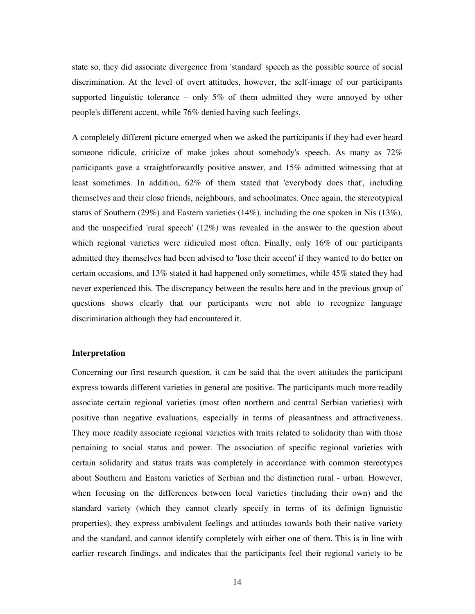state so, they did associate divergence from 'standard' speech as the possible source of social discrimination. At the level of overt attitudes, however, the self-image of our participants supported linguistic tolerance – only 5% of them admitted they were annoyed by other people's different accent, while 76% denied having such feelings.

A completely different picture emerged when we asked the participants if they had ever heard someone ridicule, criticize of make jokes about somebody's speech. As many as 72% participants gave a straightforwardly positive answer, and 15% admitted witnessing that at least sometimes. In addition, 62% of them stated that 'everybody does that', including themselves and their close friends, neighbours, and schoolmates. Once again, the stereotypical status of Southern (29%) and Eastern varieties (14%), including the one spoken in Nis (13%), and the unspecified 'rural speech' (12%) was revealed in the answer to the question about which regional varieties were ridiculed most often. Finally, only 16% of our participants admitted they themselves had been advised to 'lose their accent' if they wanted to do better on certain occasions, and 13% stated it had happened only sometimes, while 45% stated they had never experienced this. The discrepancy between the results here and in the previous group of questions shows clearly that our participants were not able to recognize language discrimination although they had encountered it.

## **Interpretation**

Concerning our first research question, it can be said that the overt attitudes the participant express towards different varieties in general are positive. The participants much more readily associate certain regional varieties (most often northern and central Serbian varieties) with positive than negative evaluations, especially in terms of pleasantness and attractiveness. They more readily associate regional varieties with traits related to solidarity than with those pertaining to social status and power. The association of specific regional varieties with certain solidarity and status traits was completely in accordance with common stereotypes about Southern and Eastern varieties of Serbian and the distinction rural - urban. However, when focusing on the differences between local varieties (including their own) and the standard variety (which they cannot clearly specify in terms of its definign lignuistic properties), they express ambivalent feelings and attitudes towards both their native variety and the standard, and cannot identify completely with either one of them. This is in line with earlier research findings, and indicates that the participants feel their regional variety to be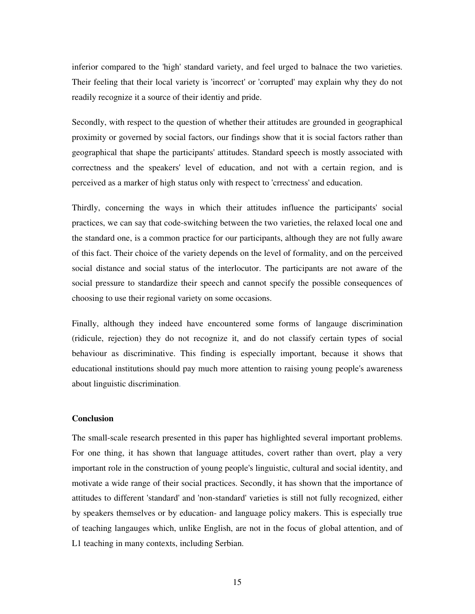inferior compared to the 'high' standard variety, and feel urged to balnace the two varieties. Their feeling that their local variety is 'incorrect' or 'corrupted' may explain why they do not readily recognize it a source of their identiy and pride.

Secondly, with respect to the question of whether their attitudes are grounded in geographical proximity or governed by social factors, our findings show that it is social factors rather than geographical that shape the participants' attitudes. Standard speech is mostly associated with correctness and the speakers' level of education, and not with a certain region, and is perceived as a marker of high status only with respect to 'crrectness' and education.

Thirdly, concerning the ways in which their attitudes influence the participants' social practices, we can say that code-switching between the two varieties, the relaxed local one and the standard one, is a common practice for our participants, although they are not fully aware of this fact. Their choice of the variety depends on the level of formality, and on the perceived social distance and social status of the interlocutor. The participants are not aware of the social pressure to standardize their speech and cannot specify the possible consequences of choosing to use their regional variety on some occasions.

Finally, although they indeed have encountered some forms of langauge discrimination (ridicule, rejection) they do not recognize it, and do not classify certain types of social behaviour as discriminative. This finding is especially important, because it shows that educational institutions should pay much more attention to raising young people's awareness about linguistic discrimination.

# **Conclusion**

The small-scale research presented in this paper has highlighted several important problems. For one thing, it has shown that language attitudes, covert rather than overt, play a very important role in the construction of young people's linguistic, cultural and social identity, and motivate a wide range of their social practices. Secondly, it has shown that the importance of attitudes to different 'standard' and 'non-standard' varieties is still not fully recognized, either by speakers themselves or by education- and language policy makers. This is especially true of teaching langauges which, unlike English, are not in the focus of global attention, and of L1 teaching in many contexts, including Serbian.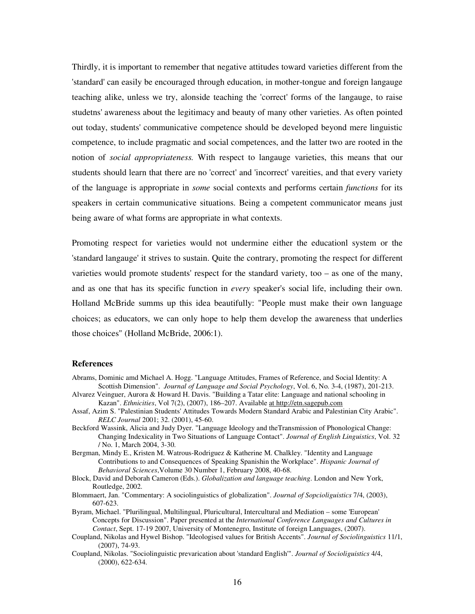Thirdly, it is important to remember that negative attitudes toward varieties different from the 'standard' can easily be encouraged through education, in mother-tongue and foreign langauge teaching alike, unless we try, alonside teaching the 'correct' forms of the langauge, to raise studetns' awareness about the legitimacy and beauty of many other varieties. As often pointed out today, students' communicative competence should be developed beyond mere linguistic competence, to include pragmatic and social competences, and the latter two are rooted in the notion of *social appropriateness.* With respect to langauge varieties, this means that our students should learn that there are no 'correct' and 'incorrect' vareities, and that every variety of the language is appropriate in *some* social contexts and performs certain *functions* for its speakers in certain communicative situations. Being a competent communicator means just being aware of what forms are appropriate in what contexts.

Promoting respect for varieties would not undermine either the educationl system or the 'standard langauge' it strives to sustain. Quite the contrary, promoting the respect for different varieties would promote students' respect for the standard variety, too – as one of the many, and as one that has its specific function in *every* speaker's social life, including their own. Holland McBride summs up this idea beautifully: "People must make their own language choices; as educators, we can only hope to help them develop the awareness that underlies those choices" (Holland McBride, 2006:1).

#### **References**

- Abrams, Dominic amd Michael A. Hogg. "Language Attitudes, Frames of Reference, and Social Identity: A Scottish Dimension". *Journal of Language and Social Psychology*, Vol. 6, No. 3-4, (1987), 201-213.
- Alvarez Veinguer, Aurora & Howard H. Davis. "Building a Tatar elite: Language and national schooling in Kazan". *Ethnicities*, Vol 7(2), (2007), 186–207. Available at http://etn.sagepub.com
- Assaf, Azim S. "Palestinian Students' Attitudes Towards Modern Standard Arabic and Palestinian City Arabic". *RELC Journal* 2001; 32. (2001), 45-60.
- Beckford Wassink, Alicia and Judy Dyer. "Language Ideology and theTransmission of Phonological Change: Changing Indexicality in Two Situations of Language Contact". *Journal of English Linguistics*, Vol. 32 / No. 1, March 2004, 3-30.
- Bergman, Mindy E., Kristen M. Watrous-Rodriguez & Katherine M. Chalkley. "Identity and Language Contributions to and Consequences of Speaking Spanishin the Workplace". *Hispanic Journal of Behavioral Sciences*,Volume 30 Number 1, February 2008, 40-68.
- Block, David and Deborah Cameron (Eds.). *Globalization and language teaching*. London and New York, Routledge, 2002.
- Blommaert, Jan. "Commentary: A sociolinguistics of globalization". *Journal of Sopcioliguistics* 7/4, (2003), 607-623.
- Byram, Michael. "Plurilingual, Multilingual, Pluricultural, Intercultural and Mediation some 'European' Concepts for Discussion". Paper presented at the *International Conference Languages and Cultures in Contact*, Sept. 17-19 2007, University of Montenegro, Institute of foreign Languages, (2007).
- Coupland, Nikolas and Hywel Bishop. "Ideologised values for British Accents". *Journal of Sociolinguistics* 11/1, (2007), 74-93.
- Coupland, Nikolas. "Sociolinguistic prevarication about 'standard English'". *Journal of Socioliguistics* 4/4, (2000), 622-634.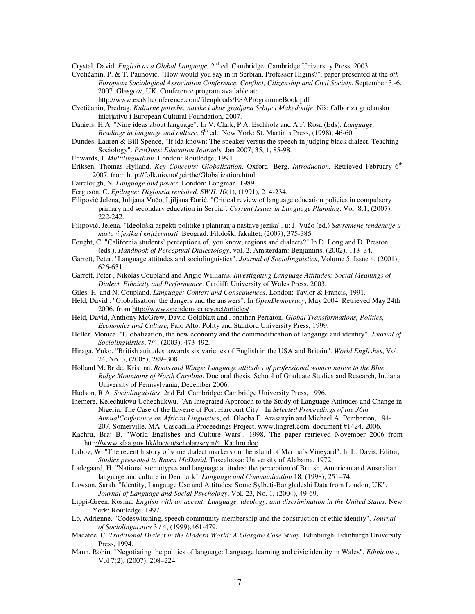Crystal, David. *English as a Global Language,* 2nd ed. Cambridge: Cambridge University Press, 2003.

- Cvetičanin, P. & T. Paunović. "How would you say in in Serbian, Professor Higins?", paper presented at the *8th European Sociological Association Conference, Conflict, Citizenship and Civil Society*, September 3.-6. 2007. Glasgow, UK. Conference program available at: http://www.esa8thconference.com/fileuploads/ESAProgrammeBook.pdf
- Cvetičanin, Predrag. *Kulturne potrebe, navike i ukus gradjana Srbije i Makedonije*. Niš: Odbor za građansku inicijativu i European Cultural Foundation, 2007.
- Daniels, H.A. "Nine ideas about language". In V. Clark, P.A. Eschholz and A.F. Rosa (Eds). *Language:*  Readings in language and culture. 6<sup>th</sup> ed., New York: St. Martin's Press, (1998), 46-60.
- Dundes, Lauren & Bill Spence, "If ida known: The speaker versus the speech in judging black dialect, Teaching Sociology". *ProQuest Education Journals,* Jan 2007; 35, 1, 85-98.
- Edwards, J. *Multilingualism*. London: Routledge, 1994.
- Eriksen, Thomas Hylland. *Key Concepts: Globalization*. Oxford: Berg. *Introduction.* Retrieved February 6th 2007. from http://folk.uio.no/geirthe/Globalization.html
- Fairclough, N. *Language and power*. London: Longman, 1989.
- Ferguson, C. *Epilogue: Diglossia revisited*. *SWJL 10*(1), (1991), 214-234.
- Filipović Jelena, Julijana Vučo, Ljiljana Đurić. "Critical review of language education policies in compulsory primary and secondary education in Serbia". *Current Issues in Language Planning*: Vol. 8:1, (2007), 222-242.
- Filipović, Jelena. "Ideološki aspekti politike i planiranja nastave jezika". u: J. Vučo (ed.) *Savremene tendencije u nastavi jezika i književnosti*. Beograd: Filološki fakultet, (2007), 375-385.
- Fought, C. "California students' perceptions of, you know, regions and dialects?" In D. Long and D. Preston (eds.), *Handbook of Perceptual Dialectology*, vol. 2. Amsterdam: Benjamins, (2002), 113–34.
- Garrett, Peter. "Language attitudes and sociolinguistics". *Journal of Sociolinguistics*, Volume 5, Issue 4, (2001), 626-631.
- Garrett, Peter , Nikolas Coupland and Angie Williams. *Investigating Language Attitudes: Social Meanings of Dialect, Ethnicity and Performance*. Cardiff: University of Wales Press, 2003.
- Giles, H. and N. Coupland. *Language: Context and Consequences*. London: Taylor & Francis, 1991.
- Held, David . "Globalisation: the dangers and the answers". In *OpenDemocracy*, May 2004. Retrieved May 24th 2006. from http://www.opendemocracy.net/articles/
- Held, David, Anthony McGrew, David Goldblatt and Jonathan Perraton. *Global Transformations, Politics, Economics and Culture*, Palo Alto: Polity and Stanford University Press, 1999.
- Heller, Monica. "Globalization, the new economy and the commodification of langauge and identity". *Journal of Sociolinguistics*, 7/4, (2003), 473-492.
- Hiraga, Yuko. "British attitudes towards six varieties of English in the USA and Britain". *World Englishes*, Vol. 24, No. 3, (2005), 289–308.
- Holland McBride, Kristina. *Roots and Wings: Language attitudes of professional women native to the Blue Ridge Mountains of North Carolina*. Doctoral thesis, School of Graduate Studies and Research, Indiana University of Pennsylvania, December 2006.
- Hudson, R.A. *Sociolinguistics*. 2nd Ed. Cambridge: Cambridge University Press, 1996.
- Ihemere, Kelechukwu Uchechukwu. "An Integrated Approach to the Study of Language Attitudes and Change in Nigeria: The Case of the Ikwerre of Port Harcourt City". In *Selected Proceedings of the 36th AnnualConference on African Linguistics*, ed. Olaoba F. Arasanyin and Michael A. Pemberton, 194- 207. Somerville, MA: Cascadilla Proceedings Project. www.lingref.com, document #1424, 2006.
- Kachru, Braj B. "World Englishes and Culture Wars", 1998. The paper retrieved November 2006 from http://www.sfaa.gov.hk/doc/en/scholar/seym/4\_Kachru.doc.
- Labov, W. "The recent history of some dialect markers on the island of Martha's Vineyard". In L. Davis, Editor, *Studies presented to Raven McDavid*. Tuscaloosa: University of Alabama, 1972.
- Ladegaard, H. "National stereotypes and language attitudes: the perception of British, American and Australian language and culture in Denmark". *Language and Communication* 18, (1998), 251–74.
- Lawson, Sarah. "Identity, Langauge Use and Attitudes: Some Sylheti-Bangladeshi Data from London, UK". *Journal of Language and Social Psychology*, Vol. 23, No. 1, (2004), 49-69.
- Lippi-Green, Rosina. *English with an accent: Language, ideology, and discrimination in the United States*. New York: Routledge, 1997.
- Lo, Adrienne. "Codeswitching, speech community membership and the construction of ethic identity". *Journal of Sociolinguistics* 3 / 4, (1999),461-479.
- Macafee, C. *Traditional Dialect in the Modern World: A Glasgow Case Study*. Edinburgh: Edinburgh University Press, 1994.
- Mann, Robin. "Negotiating the politics of language: Language learning and civic identity in Wales". *Ethnicities*, Vol 7(2), (2007), 208–224.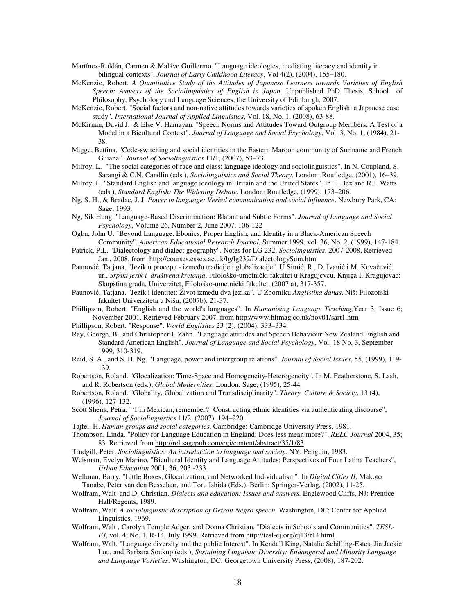Martínez-Roldán, Carmen & Maláve Guillermo. "Language ideologies, mediating literacy and identity in bilingual contexts". *Journal of Early Childhood Literacy*, Vol 4(2), (2004), 155–180.

- McKenzie, Robert. *A Quantitative Study of the Attitudes of Japanese Learners towards Varieties of English Speech: Aspects of the Sociolinguistics of English in Japan*. Unpublished PhD Thesis, School of Philosophy, Psychology and Language Sciences, the University of Edinburgh, 2007.
- McKenzie, Robert. "Social factors and non-native attitudes towards varieties of spoken English: a Japanese case study"*. International Journal of Applied Linguistics*, Vol. 18, No. 1, (2008), 63-88.
- McKirnan, David J. & Else V. Hamayan. "Speech Norms and Attitudes Toward Outgroup Members: A Test of a Model in a Bicultural Context". *Journal of Language and Social Psychology*, Vol. 3, No. 1, (1984), 21- 38.
- Migge, Bettina. "Code-switching and social identities in the Eastern Maroon community of Suriname and French Guiana". *Journal of Sociolinguistics* 11/1, (2007), 53–73.
- Milroy, L. "The social categories of race and class: language ideology and sociolinguistics". In N. Coupland, S. Sarangi & C.N. Candlin (eds.), *Sociolinguistics and Social Theory*. London: Routledge, (2001), 16–39.
- Milroy, L. "Standard English and language ideology in Britain and the United States". In T. Bex and R.J. Watts (eds.), *Standard English: The Widening Debate*. London: Routledge, (1999), 173–206.
- Ng, S. H., & Bradac, J. J. *Power in language: Verbal communication and social influence*. Newbury Park, CA: Sage, 1993.
- Ng, Sik Hung. "Language-Based Discrimination: Blatant and Subtle Forms". *Journal of Language and Social Psychology*, Volume 26, Number 2, June 2007, 106-122
- Ogbu, John U. "Beyond Language: Ebonics, Proper English, and Identity in a Black-American Speech Community". *American Educational Research Journal*, Summer 1999, vol. 36, No. 2, (1999), 147-184.
- Patrick, P.L. "Dialectology and dialect geography". Notes for LG 232. *Sociolinguistics*, 2007-2008, Retrieved Jan., 2008. from http://courses.essex.ac.uk/lg/lg232/DialectologySum.htm
- Paunović, Tatjana. "Jezik u procepu između tradicije i globalizacije". U Simić, R., D. Ivanić i M. Kovačević, ur., *Srpski jezik i društvena kretanja*, Filološko-umetnički fakultet u Kragujevcu, Knjiga I. Kragujevac: Skupština grada, Univerzitet, Filološko-umetnički fakultet, (2007 a), 317-357.
- Paunović, Tatjana. "Jezik i identitet: Život između dva jezika". U Zborniku *Anglistika danas*. Niš: Filozofski fakultet Univerziteta u Nišu, (2007b), 21-37.
- Phillipson, Robert. "English and the world's languages". In *Humanising Language Teaching,*Year 3; Issue 6; November 2001. Retrieved February 2007. from http://www.hltmag.co.uk/nov01/sart1.htm
- Phillipson, Robert. "Response". *World Englishes* 23 (2), (2004), 333–334.
- Ray, George, B., and Christopher J. Zahn. "Language attitudes and Speech Behaviour:New Zealand English and Standard American English". *Journal of Language and Social Psychology*, Vol. 18 No. 3, September 1999, 310-319.
- Reid, S. A., and S. H. Ng. "Language, power and intergroup relations". *Journal of Social Issues*, 55, (1999), 119- 139.
- Robertson, Roland. "Glocalization: Time-Space and Homogeneity-Heterogeneity". In M. Featherstone, S. Lash, and R. Robertson (eds.), *Global Modernities*. London: Sage, (1995), 25-44.
- Robertson, Roland. "Globality, Globalization and Transdisciplinarity". *Theory, Culture & Society*, 13 (4), (1996), 127-132.
- Scott Shenk, Petra. "'I'm Mexican, remember?' Constructing ethnic identities via authenticating discourse", *Journal of Sociolinguistics* 11/2, (2007), 194–220.
- Tajfel, H. *Human groups and social categories*. Cambridge: Cambridge University Press, 1981.
- Thompson, Linda. "Policy for Language Education in England: Does less mean more?". *RELC Journal* 2004, 35; 83. Retrieved from http://rel.sagepub.com/cgi/content/abstract/35/1/83
- Trudgill, Peter. *Sociolinguistics: An introduction to language and society.* NY: Penguin, 1983.
- Weisman, Evelyn Marino. "Bicultural Identity and Language Attitudes: Perspectives of Four Latina Teachers", *Urban Education* 2001, 36, 203 -233.
- Wellman, Barry. "Little Boxes, Glocalization, and Networked Individualism". In *Digital Cities II*, Makoto Tanabe, Peter van den Besselaar, and Toru Ishida (Eds.). Berlin: Springer-Verlag, (2002), 11-25.
- Wolfram, Walt and D. Christian. *Dialects and education: Issues and answers.* Englewood Cliffs, NJ: Prentice-Hall/Regents, 1989.
- Wolfram, Walt. *A sociolinguistic description of Detroit Negro speech.* Washington, DC: Center for Applied Linguistics, 1969.
- Wolfram, Walt , Carolyn Temple Adger, and Donna Christian. "Dialects in Schools and Communities". *TESL-EJ*, vol. 4, No. 1, R-14, July 1999. Retrieved from http://tesl-ej.org/ej13/r14.html
- Wolfram, Walt. "Language diversity and the public Interest". In Kendall King, Natalie Schilling-Estes, Jia Jackie Lou, and Barbara Soukup (eds.), *Sustaining Linguistic Diversity: Endangered and Minority Language and Language Varieties*. Washington, DC: Georgetown University Press, (2008), 187-202.